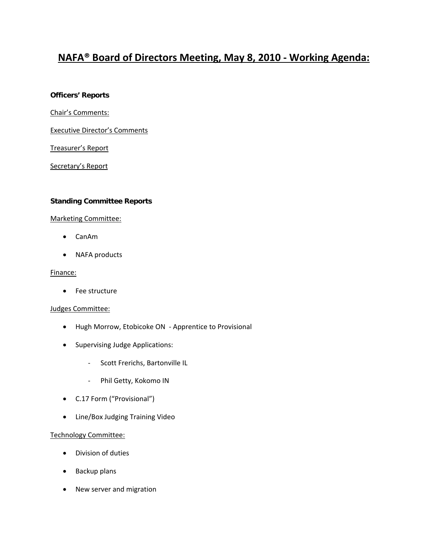# **NAFA® Board of Directors Meeting, May 8, 2010 ‐ Working Agenda:**

#### **Officers' Reports**

Chair's Comments:

Executive Director's Comments

Treasurer's Report

Secretary's Report

### **Standing Committee Reports**

#### Marketing Committee:

- CanAm
- NAFA products

#### Finance:

• Fee structure

#### Judges Committee:

- Hugh Morrow, Etobicoke ON ‐ Apprentice to Provisional
- Supervising Judge Applications:
	- ‐ Scott Frerichs, Bartonville IL
	- ‐ Phil Getty, Kokomo IN
- C.17 Form ("Provisional")
- Line/Box Judging Training Video

#### Technology Committee:

- Division of duties
- Backup plans
- New server and migration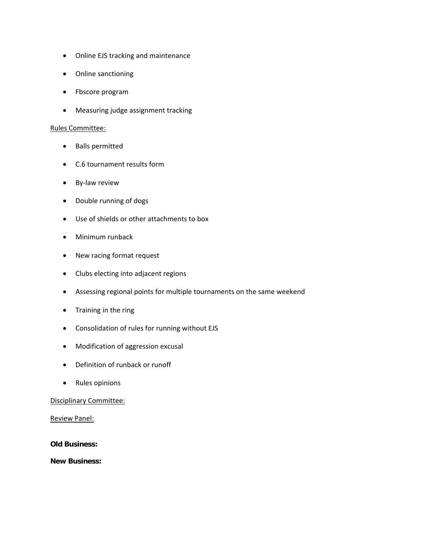- Online EJS tracking and maintenance
- Online sanctioning
- Fbscore program
- Measuring judge assignment tracking

#### Rules Committee:

- Balls permitted
- C.6 tournament results form
- By‐law review
- Double running of dogs
- Use of shields or other attachments to box
- Minimum runback
- New racing format request
- Clubs electing into adjacent regions
- Assessing regional points for multiple tournaments on the same weekend
- Training in the ring
- Consolidation of rules for running without EJS
- Modification of aggression excusal
- Definition of runback or runoff
- Rules opinions

### Disciplinary Committee:

Review Panel:

**Old Business:** 

**New Business:**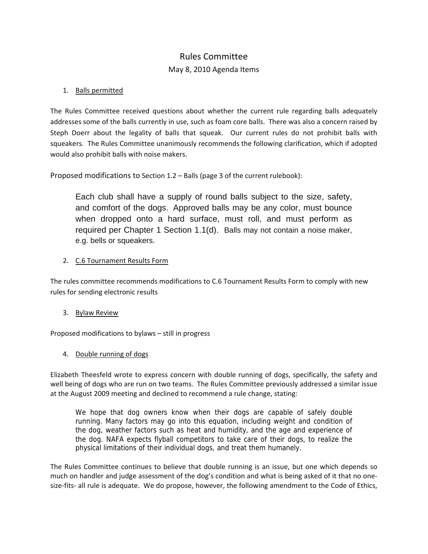# Rules Committee

# May 8, 2010 Agenda Items

### 1. Balls permitted

The Rules Committee received questions about whether the current rule regarding balls adequately addresses some of the balls currently in use, such as foam core balls. There was also a concern raised by Steph Doerr about the legality of balls that squeak. Our current rules do not prohibit balls with squeakers. The Rules Committee unanimously recommends the following clarification, which if adopted would also prohibit balls with noise makers.

Proposed modifications to Section 1.2 – Balls (page 3 of the current rulebook):

Each club shall have a supply of round balls subject to the size, safety, and comfort of the dogs. Approved balls may be any color, must bounce when dropped onto a hard surface, must roll, and must perform as required per Chapter 1 Section 1.1(d). Balls may not contain a noise maker, e.g. bells or squeakers.

### 2. C.6 Tournament Results Form

The rules committee recommends modifications to C.6 Tournament Results Form to comply with new rules for sending electronic results

### 3. Bylaw Review

Proposed modifications to bylaws – still in progress

### 4. Double running of dogs

Elizabeth Theesfeld wrote to express concern with double running of dogs, specifically, the safety and well being of dogs who are run on two teams. The Rules Committee previously addressed a similar issue at the August 2009 meeting and declined to recommend a rule change, stating:

We hope that dog owners know when their dogs are capable of safely double running. Many factors may go into this equation, including weight and condition of the dog, weather factors such as heat and humidity, and the age and experience of the dog. NAFA expects flyball competitors to take care of their dogs, to realize the physical limitations of their individual dogs, and treat them humanely.

The Rules Committee continues to believe that double running is an issue, but one which depends so much on handler and judge assessment of the dog's condition and what is being asked of it that no one‐ size-fits- all rule is adequate. We do propose, however, the following amendment to the Code of Ethics,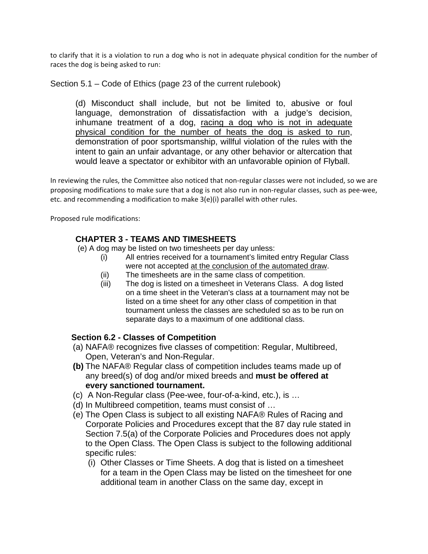to clarify that it is a violation to run a dog who is not in adequate physical condition for the number of races the dog is being asked to run:

Section 5.1 – Code of Ethics (page 23 of the current rulebook)

(d) Misconduct shall include, but not be limited to, abusive or foul language, demonstration of dissatisfaction with a judge's decision, inhumane treatment of a dog, racing a dog who is not in adequate physical condition for the number of heats the dog is asked to run, demonstration of poor sportsmanship, willful violation of the rules with the intent to gain an unfair advantage, or any other behavior or altercation that would leave a spectator or exhibitor with an unfavorable opinion of Flyball.

In reviewing the rules, the Committee also noticed that non-regular classes were not included, so we are proposing modifications to make sure that a dog is not also run in non‐regular classes, such as pee‐wee, etc. and recommending a modification to make 3(e)(i) parallel with other rules.

Proposed rule modifications:

# **CHAPTER 3 - TEAMS AND TIMESHEETS**

(e) A dog may be listed on two timesheets per day unless:

- (i) All entries received for a tournament's limited entry Regular Class were not accepted at the conclusion of the automated draw.
- (ii) The timesheets are in the same class of competition.
- (iii) The dog is listed on a timesheet in Veterans Class. A dog listed on a time sheet in the Veteran's class at a tournament may not be listed on a time sheet for any other class of competition in that tournament unless the classes are scheduled so as to be run on separate days to a maximum of one additional class.

# **Section 6.2 - Classes of Competition**

- (a) NAFA® recognizes five classes of competition: Regular, Multibreed, Open, Veteran's and Non-Regular.
- **(b)** The NAFA® Regular class of competition includes teams made up of any breed(s) of dog and/or mixed breeds and **must be offered at every sanctioned tournament.**
- (c) A Non-Regular class (Pee-wee, four-of-a-kind, etc.), is …
- (d) In Multibreed competition, teams must consist of …
- (e) The Open Class is subject to all existing NAFA® Rules of Racing and Corporate Policies and Procedures except that the 87 day rule stated in Section 7.5(a) of the Corporate Policies and Procedures does not apply to the Open Class. The Open Class is subject to the following additional specific rules:
	- (i) Other Classes or Time Sheets. A dog that is listed on a timesheet for a team in the Open Class may be listed on the timesheet for one additional team in another Class on the same day, except in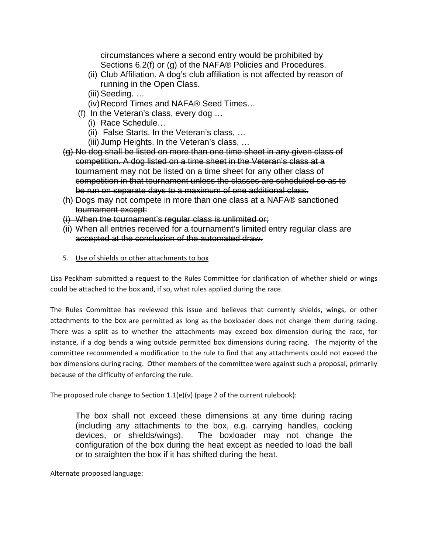circumstances where a second entry would be prohibited by Sections 6.2(f) or (g) of the NAFA® Policies and Procedures.

- (ii) Club Affiliation. A dog's club affiliation is not affected by reason of running in the Open Class.
- (iii) Seeding. …
- (iv) Record Times and NAFA® Seed Times…
- (f) In the Veteran's class, every dog …
	- (i) Race Schedule…
	- (ii) False Starts. In the Veteran's class, …
	- (iii) Jump Heights. In the Veteran's class, …
- (g) No dog shall be listed on more than one time sheet in any given class of competition. A dog listed on a time sheet in the Veteran's class at a tournament may not be listed on a time sheet for any other class of competition in that tournament unless the classes are scheduled so as to be run on separate days to a maximum of one additional class.
- (h) Dogs may not compete in more than one class at a NAFA® sanctioned tournament except:
- (i) When the tournament's regular class is unlimited or;
- (ii) When all entries received for a tournament's limited entry regular class are accepted at the conclusion of the automated draw.
- 5. Use of shields or other attachments to box

Lisa Peckham submitted a request to the Rules Committee for clarification of whether shield or wings could be attached to the box and, if so, what rules applied during the race.

The Rules Committee has reviewed this issue and believes that currently shields, wings, or other attachments to the box are permitted as long as the boxloader does not change them during racing. There was a split as to whether the attachments may exceed box dimension during the race, for instance, if a dog bends a wing outside permitted box dimensions during racing. The majority of the committee recommended a modification to the rule to find that any attachments could not exceed the box dimensions during racing. Other members of the committee were against such a proposal, primarily because of the difficulty of enforcing the rule.

The proposed rule change to Section  $1.1(e)(v)$  (page 2 of the current rulebook):

The box shall not exceed these dimensions at any time during racing (including any attachments to the box, e.g. carrying handles, cocking devices, or shields/wings). The boxloader may not change the configuration of the box during the heat except as needed to load the ball or to straighten the box if it has shifted during the heat.

Alternate proposed language: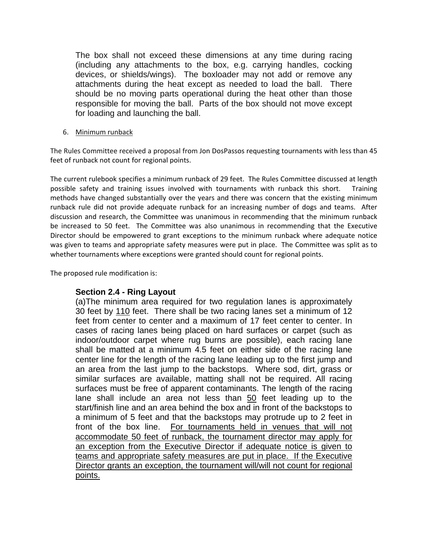The box shall not exceed these dimensions at any time during racing (including any attachments to the box, e.g. carrying handles, cocking devices, or shields/wings). The boxloader may not add or remove any attachments during the heat except as needed to load the ball. There should be no moving parts operational during the heat other than those responsible for moving the ball. Parts of the box should not move except for loading and launching the ball.

6. Minimum runback

The Rules Committee received a proposal from Jon DosPassos requesting tournaments with less than 45 feet of runback not count for regional points.

The current rulebook specifies a minimum runback of 29 feet. The Rules Committee discussed at length possible safety and training issues involved with tournaments with runback this short. Training methods have changed substantially over the years and there was concern that the existing minimum runback rule did not provide adequate runback for an increasing number of dogs and teams. After discussion and research, the Committee was unanimous in recommending that the minimum runback be increased to 50 feet. The Committee was also unanimous in recommending that the Executive Director should be empowered to grant exceptions to the minimum runback where adequate notice was given to teams and appropriate safety measures were put in place. The Committee was split as to whether tournaments where exceptions were granted should count for regional points.

The proposed rule modification is:

# **Section 2.4 - Ring Layout**

(a)The minimum area required for two regulation lanes is approximately 30 feet by 110 feet. There shall be two racing lanes set a minimum of 12 feet from center to center and a maximum of 17 feet center to center. In cases of racing lanes being placed on hard surfaces or carpet (such as indoor/outdoor carpet where rug burns are possible), each racing lane shall be matted at a minimum 4.5 feet on either side of the racing lane center line for the length of the racing lane leading up to the first jump and an area from the last jump to the backstops. Where sod, dirt, grass or similar surfaces are available, matting shall not be required. All racing surfaces must be free of apparent contaminants. The length of the racing lane shall include an area not less than 50 feet leading up to the start/finish line and an area behind the box and in front of the backstops to a minimum of 5 feet and that the backstops may protrude up to 2 feet in front of the box line. For tournaments held in venues that will not accommodate 50 feet of runback, the tournament director may apply for an exception from the Executive Director if adequate notice is given to teams and appropriate safety measures are put in place. If the Executive Director grants an exception, the tournament will/will not count for regional points.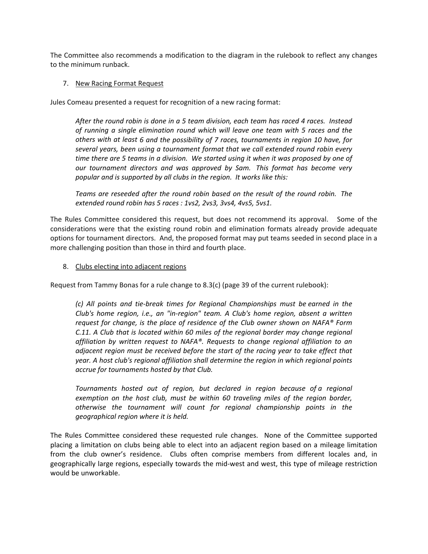The Committee also recommends a modification to the diagram in the rulebook to reflect any changes to the minimum runback.

### 7. New Racing Format Request

Jules Comeau presented a request for recognition of a new racing format:

*After the round robin is done in a 5 team division, each team has raced 4 races. Instead of running a single elimination round which will leave one team with 5 races and the others with at least 6 and the possibility of 7 races, tournaments in region 10 have, for several years, been using a tournament format that we call extended round robin every* time there are 5 teams in a division. We started using it when it was proposed by one of *our tournament directors and was approved by Sam. This format has become very popular and is supported by all clubs in the region. It works like this:*

*Teams are reseeded after the round robin based on the result of the round robin. The extended round robin has 5 races : 1vs2, 2vs3, 3vs4, 4vs5, 5vs1.*

The Rules Committee considered this request, but does not recommend its approval. Some of the considerations were that the existing round robin and elimination formats already provide adequate options for tournament directors. And, the proposed format may put teams seeded in second place in a more challenging position than those in third and fourth place.

### 8. Clubs electing into adjacent regions

Request from Tammy Bonas for a rule change to 8.3(c) (page 39 of the current rulebook):

*(c) All points and tie‐break times for Regional Championships must be earned in the Club's home region, i.e., an "in‐region" team. A Club's home region, absent a written request for change, is the place of residence of the Club owner shown on NAFA® Form C.11. A Club that is located within 60 miles of the regional border may change regional affiliation by written request to NAFA®. Requests to change regional affiliation to an adjacent region must be received before the start of the racing year to take effect that year. A host club's regional affiliation shall determine the region in which regional points accrue for tournaments hosted by that Club.*

*Tournaments hosted out of region, but declared in region because of a regional exemption on the host club, must be within 60 traveling miles of the region border, otherwise the tournament will count for regional championship points in the geographical region where it is held.* 

The Rules Committee considered these requested rule changes. None of the Committee supported placing a limitation on clubs being able to elect into an adjacent region based on a mileage limitation from the club owner's residence. Clubs often comprise members from different locales and, in geographically large regions, especially towards the mid‐west and west, this type of mileage restriction would be unworkable.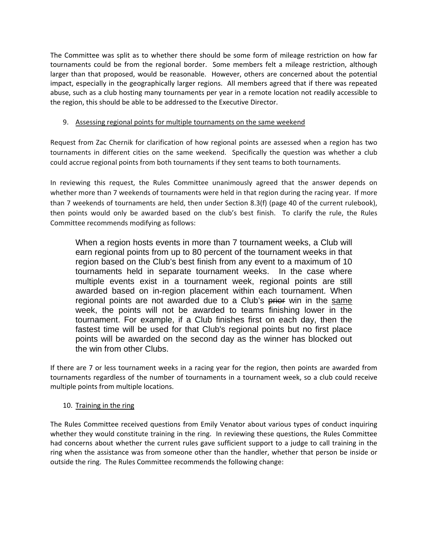The Committee was split as to whether there should be some form of mileage restriction on how far tournaments could be from the regional border. Some members felt a mileage restriction, although larger than that proposed, would be reasonable. However, others are concerned about the potential impact, especially in the geographically larger regions. All members agreed that if there was repeated abuse, such as a club hosting many tournaments per year in a remote location not readily accessible to the region, this should be able to be addressed to the Executive Director.

### 9. Assessing regional points for multiple tournaments on the same weekend

Request from Zac Chernik for clarification of how regional points are assessed when a region has two tournaments in different cities on the same weekend. Specifically the question was whether a club could accrue regional points from both tournaments if they sent teams to both tournaments.

In reviewing this request, the Rules Committee unanimously agreed that the answer depends on whether more than 7 weekends of tournaments were held in that region during the racing year. If more than 7 weekends of tournaments are held, then under Section 8.3(f) (page 40 of the current rulebook), then points would only be awarded based on the club's best finish. To clarify the rule, the Rules Committee recommends modifying as follows:

When a region hosts events in more than 7 tournament weeks, a Club will earn regional points from up to 80 percent of the tournament weeks in that region based on the Club's best finish from any event to a maximum of 10 tournaments held in separate tournament weeks. In the case where multiple events exist in a tournament week, regional points are still awarded based on in-region placement within each tournament. When regional points are not awarded due to a Club's prior win in the same week, the points will not be awarded to teams finishing lower in the tournament. For example, if a Club finishes first on each day, then the fastest time will be used for that Club's regional points but no first place points will be awarded on the second day as the winner has blocked out the win from other Clubs.

If there are 7 or less tournament weeks in a racing year for the region, then points are awarded from tournaments regardless of the number of tournaments in a tournament week, so a club could receive multiple points from multiple locations.

### 10. Training in the ring

The Rules Committee received questions from Emily Venator about various types of conduct inquiring whether they would constitute training in the ring. In reviewing these questions, the Rules Committee had concerns about whether the current rules gave sufficient support to a judge to call training in the ring when the assistance was from someone other than the handler, whether that person be inside or outside the ring. The Rules Committee recommends the following change: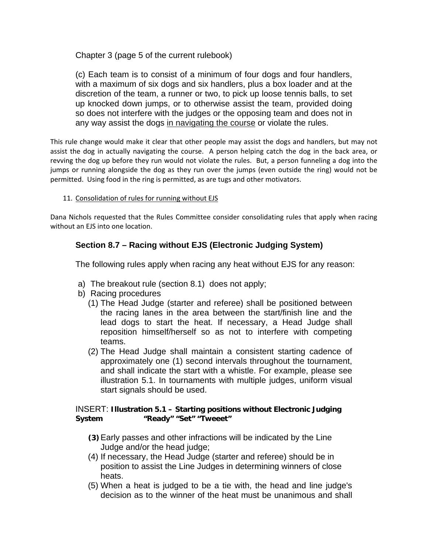Chapter 3 (page 5 of the current rulebook)

(c) Each team is to consist of a minimum of four dogs and four handlers, with a maximum of six dogs and six handlers, plus a box loader and at the discretion of the team, a runner or two, to pick up loose tennis balls, to set up knocked down jumps, or to otherwise assist the team, provided doing so does not interfere with the judges or the opposing team and does not in any way assist the dogs in navigating the course or violate the rules.

This rule change would make it clear that other people may assist the dogs and handlers, but may not assist the dog in actually navigating the course. A person helping catch the dog in the back area, or revving the dog up before they run would not violate the rules. But, a person funneling a dog into the jumps or running alongside the dog as they run over the jumps (even outside the ring) would not be permitted. Using food in the ring is permitted, as are tugs and other motivators.

### 11. Consolidation of rules for running without EJS

Dana Nichols requested that the Rules Committee consider consolidating rules that apply when racing without an EJS into one location.

# **Section 8.7 – Racing without EJS (Electronic Judging System)**

The following rules apply when racing any heat without EJS for any reason:

- a) The breakout rule (section 8.1) does not apply;
- b) Racing procedures
	- (1) The Head Judge (starter and referee) shall be positioned between the racing lanes in the area between the start/finish line and the lead dogs to start the heat. If necessary, a Head Judge shall reposition himself/herself so as not to interfere with competing teams.
	- (2) The Head Judge shall maintain a consistent starting cadence of approximately one (1) second intervals throughout the tournament, and shall indicate the start with a whistle. For example, please see illustration 5.1. In tournaments with multiple judges, uniform visual start signals should be used.

# INSERT: **Illustration 5.1 – Starting positions without Electronic Judging System "Ready" "Set" "Tweeet"**

- **(3)**Early passes and other infractions will be indicated by the Line Judge and/or the head judge;
- (4) If necessary, the Head Judge (starter and referee) should be in position to assist the Line Judges in determining winners of close heats.
- (5) When a heat is judged to be a tie with, the head and line judge's decision as to the winner of the heat must be unanimous and shall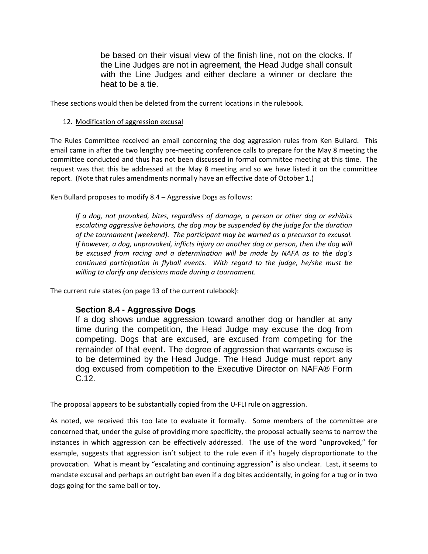be based on their visual view of the finish line, not on the clocks. If the Line Judges are not in agreement, the Head Judge shall consult with the Line Judges and either declare a winner or declare the heat to be a tie.

These sections would then be deleted from the current locations in the rulebook.

### 12. Modification of aggression excusal

The Rules Committee received an email concerning the dog aggression rules from Ken Bullard. This email came in after the two lengthy pre-meeting conference calls to prepare for the May 8 meeting the committee conducted and thus has not been discussed in formal committee meeting at this time. The request was that this be addressed at the May 8 meeting and so we have listed it on the committee report. (Note that rules amendments normally have an effective date of October 1.)

Ken Bullard proposes to modify 8.4 – Aggressive Dogs as follows:

*If a dog, not provoked, bites, regardless of damage, a person or other dog or exhibits escalating aggressive behaviors, the dog may be suspended by the judge for the duration of the tournament (weekend). The participant may be warned as a precursor to excusal. If however, a dog, unprovoked, inflicts injury on another dog or person, then the dog will be excused from racing and a determination will be made by NAFA as to the dog's continued participation in flyball events. With regard to the judge, he/she must be willing to clarify any decisions made during a tournament.* 

The current rule states (on page 13 of the current rulebook):

### **Section 8.4 - Aggressive Dogs**

If a dog shows undue aggression toward another dog or handler at any time during the competition, the Head Judge may excuse the dog from competing. Dogs that are excused, are excused from competing for the remainder of that event. The degree of aggression that warrants excuse is to be determined by the Head Judge. The Head Judge must report any dog excused from competition to the Executive Director on NAFA® Form C.12.

The proposal appears to be substantially copied from the U-FLI rule on aggression.

As noted, we received this too late to evaluate it formally. Some members of the committee are concerned that, under the guise of providing more specificity, the proposal actually seems to narrow the instances in which aggression can be effectively addressed. The use of the word "unprovoked," for example, suggests that aggression isn't subject to the rule even if it's hugely disproportionate to the provocation. What is meant by "escalating and continuing aggression" is also unclear. Last, it seems to mandate excusal and perhaps an outright ban even if a dog bites accidentally, in going for a tug or in two dogs going for the same ball or toy.